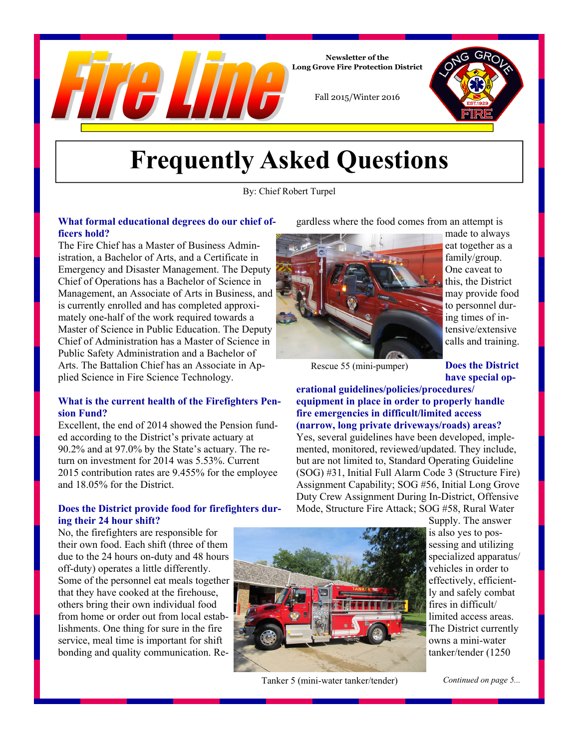

**Newsletter of the Long Grove Fire Protection District** 

Fall 2015/Winter 2016

### **Frequently Asked Questions**

By: Chief Robert Turpel

#### **What formal educational degrees do our chief officers hold?**

The Fire Chief has a Master of Business Administration, a Bachelor of Arts, and a Certificate in Emergency and Disaster Management. The Deputy Chief of Operations has a Bachelor of Science in Management, an Associate of Arts in Business, and is currently enrolled and has completed approximately one-half of the work required towards a Master of Science in Public Education. The Deputy Chief of Administration has a Master of Science in Public Safety Administration and a Bachelor of Arts. The Battalion Chief has an Associate in Applied Science in Fire Science Technology.

### **What is the current health of the Firefighters Pension Fund?**

Excellent, the end of 2014 showed the Pension funded according to the District's private actuary at 90.2% and at 97.0% by the State's actuary. The return on investment for 2014 was 5.53%. Current 2015 contribution rates are 9.455% for the employee and 18.05% for the District.

#### **Does the District provide food for firefighters during their 24 hour shift?**

No, the firefighters are responsible for their own food. Each shift (three of them due to the 24 hours on-duty and 48 hours off-duty) operates a little differently. Some of the personnel eat meals together that they have cooked at the firehouse, others bring their own individual food from home or order out from local establishments. One thing for sure in the fire service, meal time is important for shift bonding and quality communication. Regardless where the food comes from an attempt is



made to always eat together as a family/group. One caveat to this, the District may provide food to personnel during times of intensive/extensive calls and training.

Rescue 55 (mini-pumper)

**Does the District have special op-**

**erational guidelines/policies/procedures/ equipment in place in order to properly handle fire emergencies in difficult/limited access (narrow, long private driveways/roads) areas?** 

Yes, several guidelines have been developed, implemented, monitored, reviewed/updated. They include, but are not limited to, Standard Operating Guideline (SOG) #31, Initial Full Alarm Code 3 (Structure Fire) Assignment Capability; SOG #56, Initial Long Grove Duty Crew Assignment During In-District, Offensive Mode, Structure Fire Attack; SOG #58, Rural Water



Tanker 5 (mini-water tanker/tender)

Supply. The answer is also yes to possessing and utilizing specialized apparatus/ vehicles in order to effectively, efficiently and safely combat fires in difficult/ limited access areas. The District currently owns a mini-water tanker/tender (1250

*Continued on page 5...*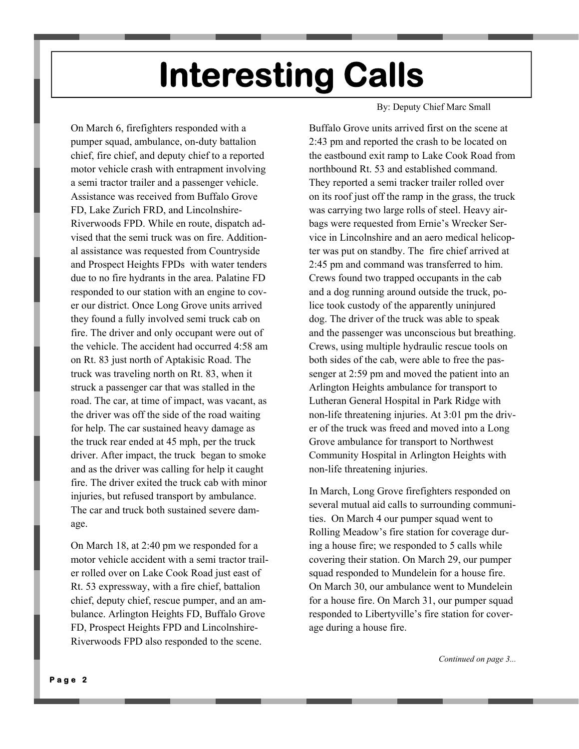# **Interesting Calls**

On March 6, firefighters responded with a pumper squad, ambulance, on-duty battalion chief, fire chief, and deputy chief to a reported motor vehicle crash with entrapment involving a semi tractor trailer and a passenger vehicle. Assistance was received from Buffalo Grove FD, Lake Zurich FRD, and Lincolnshire-Riverwoods FPD. While en route, dispatch advised that the semi truck was on fire. Additional assistance was requested from Countryside and Prospect Heights FPDs with water tenders due to no fire hydrants in the area. Palatine FD responded to our station with an engine to cover our district. Once Long Grove units arrived they found a fully involved semi truck cab on fire. The driver and only occupant were out of the vehicle. The accident had occurred 4:58 am on Rt. 83 just north of Aptakisic Road. The truck was traveling north on Rt. 83, when it struck a passenger car that was stalled in the road. The car, at time of impact, was vacant, as the driver was off the side of the road waiting for help. The car sustained heavy damage as the truck rear ended at 45 mph, per the truck driver. After impact, the truck began to smoke and as the driver was calling for help it caught fire. The driver exited the truck cab with minor injuries, but refused transport by ambulance. The car and truck both sustained severe damage.

On March 18, at 2:40 pm we responded for a motor vehicle accident with a semi tractor trailer rolled over on Lake Cook Road just east of Rt. 53 expressway, with a fire chief, battalion chief, deputy chief, rescue pumper, and an ambulance. Arlington Heights FD, Buffalo Grove FD, Prospect Heights FPD and Lincolnshire-Riverwoods FPD also responded to the scene.

#### By: Deputy Chief Marc Small

Buffalo Grove units arrived first on the scene at 2:43 pm and reported the crash to be located on the eastbound exit ramp to Lake Cook Road from northbound Rt. 53 and established command. They reported a semi tracker trailer rolled over on its roof just off the ramp in the grass, the truck was carrying two large rolls of steel. Heavy airbags were requested from Ernie's Wrecker Service in Lincolnshire and an aero medical helicopter was put on standby. The fire chief arrived at 2:45 pm and command was transferred to him. Crews found two trapped occupants in the cab and a dog running around outside the truck, police took custody of the apparently uninjured dog. The driver of the truck was able to speak and the passenger was unconscious but breathing. Crews, using multiple hydraulic rescue tools on both sides of the cab, were able to free the passenger at 2:59 pm and moved the patient into an Arlington Heights ambulance for transport to Lutheran General Hospital in Park Ridge with non-life threatening injuries. At 3:01 pm the driver of the truck was freed and moved into a Long Grove ambulance for transport to Northwest Community Hospital in Arlington Heights with non-life threatening injuries.

In March, Long Grove firefighters responded on several mutual aid calls to surrounding communities. On March 4 our pumper squad went to Rolling Meadow's fire station for coverage during a house fire; we responded to 5 calls while covering their station. On March 29, our pumper squad responded to Mundelein for a house fire. On March 30, our ambulance went to Mundelein for a house fire. On March 31, our pumper squad responded to Libertyville's fire station for coverage during a house fire.

*Continued on page 3...*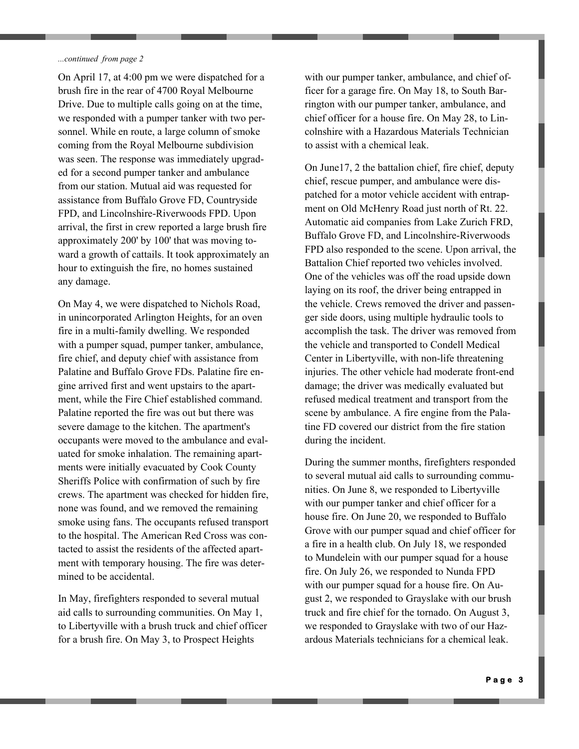#### *...continued from page 2*

On April 17, at 4:00 pm we were dispatched for a brush fire in the rear of 4700 Royal Melbourne Drive. Due to multiple calls going on at the time, we responded with a pumper tanker with two personnel. While en route, a large column of smoke coming from the Royal Melbourne subdivision was seen. The response was immediately upgraded for a second pumper tanker and ambulance from our station. Mutual aid was requested for assistance from Buffalo Grove FD, Countryside FPD, and Lincolnshire-Riverwoods FPD. Upon arrival, the first in crew reported a large brush fire approximately 200' by 100' that was moving toward a growth of cattails. It took approximately an hour to extinguish the fire, no homes sustained any damage.

On May 4, we were dispatched to Nichols Road, in unincorporated Arlington Heights, for an oven fire in a multi-family dwelling. We responded with a pumper squad, pumper tanker, ambulance, fire chief, and deputy chief with assistance from Palatine and Buffalo Grove FDs. Palatine fire engine arrived first and went upstairs to the apartment, while the Fire Chief established command. Palatine reported the fire was out but there was severe damage to the kitchen. The apartment's occupants were moved to the ambulance and evaluated for smoke inhalation. The remaining apartments were initially evacuated by Cook County Sheriffs Police with confirmation of such by fire crews. The apartment was checked for hidden fire, none was found, and we removed the remaining smoke using fans. The occupants refused transport to the hospital. The American Red Cross was contacted to assist the residents of the affected apartment with temporary housing. The fire was determined to be accidental.

In May, firefighters responded to several mutual aid calls to surrounding communities. On May 1, to Libertyville with a brush truck and chief officer for a brush fire. On May 3, to Prospect Heights

with our pumper tanker, ambulance, and chief officer for a garage fire. On May 18, to South Barrington with our pumper tanker, ambulance, and chief officer for a house fire. On May 28, to Lincolnshire with a Hazardous Materials Technician to assist with a chemical leak.

On June17, 2 the battalion chief, fire chief, deputy chief, rescue pumper, and ambulance were dispatched for a motor vehicle accident with entrapment on Old McHenry Road just north of Rt. 22. Automatic aid companies from Lake Zurich FRD, Buffalo Grove FD, and Lincolnshire-Riverwoods FPD also responded to the scene. Upon arrival, the Battalion Chief reported two vehicles involved. One of the vehicles was off the road upside down laying on its roof, the driver being entrapped in the vehicle. Crews removed the driver and passenger side doors, using multiple hydraulic tools to accomplish the task. The driver was removed from the vehicle and transported to Condell Medical Center in Libertyville, with non-life threatening injuries. The other vehicle had moderate front-end damage; the driver was medically evaluated but refused medical treatment and transport from the scene by ambulance. A fire engine from the Palatine FD covered our district from the fire station during the incident.

During the summer months, firefighters responded to several mutual aid calls to surrounding communities. On June 8, we responded to Libertyville with our pumper tanker and chief officer for a house fire. On June 20, we responded to Buffalo Grove with our pumper squad and chief officer for a fire in a health club. On July 18, we responded to Mundelein with our pumper squad for a house fire. On July 26, we responded to Nunda FPD with our pumper squad for a house fire. On August 2, we responded to Grayslake with our brush truck and fire chief for the tornado. On August 3, we responded to Grayslake with two of our Hazardous Materials technicians for a chemical leak.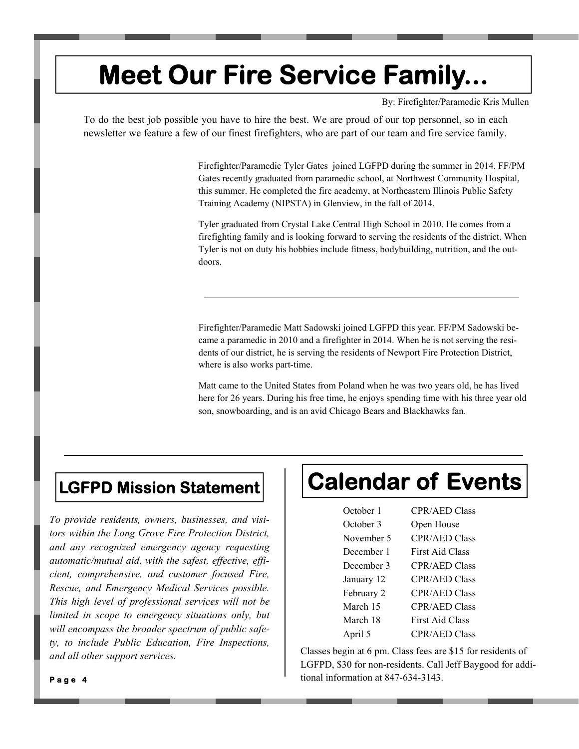## **Meet Our Fire Service Family...**

By: Firefighter/Paramedic Kris Mullen

To do the best job possible you have to hire the best. We are proud of our top personnel, so in each newsletter we feature a few of our finest firefighters, who are part of our team and fire service family.

> Firefighter/Paramedic Tyler Gates joined LGFPD during the summer in 2014. FF/PM Gates recently graduated from paramedic school, at Northwest Community Hospital, this summer. He completed the fire academy, at Northeastern Illinois Public Safety Training Academy (NIPSTA) in Glenview, in the fall of 2014.

> Tyler graduated from Crystal Lake Central High School in 2010. He comes from a firefighting family and is looking forward to serving the residents of the district. When Tyler is not on duty his hobbies include fitness, bodybuilding, nutrition, and the outdoors.

Firefighter/Paramedic Matt Sadowski joined LGFPD this year. FF/PM Sadowski became a paramedic in 2010 and a firefighter in 2014. When he is not serving the residents of our district, he is serving the residents of Newport Fire Protection District, where is also works part-time.

Matt came to the United States from Poland when he was two years old, he has lived here for 26 years. During his free time, he enjoys spending time with his three year old son, snowboarding, and is an avid Chicago Bears and Blackhawks fan.

*To provide residents, owners, businesses, and visitors within the Long Grove Fire Protection District, and any recognized emergency agency requesting automatic/mutual aid, with the safest, effective, efficient, comprehensive, and customer focused Fire, Rescue, and Emergency Medical Services possible. This high level of professional services will not be limited in scope to emergency situations only, but will encompass the broader spectrum of public safety, to include Public Education, Fire Inspections, and all other support services.*

### **LGFPD Mission Statement | Calendar of Events**

| October 1  | <b>CPR/AED Class</b>   |
|------------|------------------------|
| October 3  | Open House             |
| November 5 | <b>CPR/AED Class</b>   |
| December 1 | <b>First Aid Class</b> |
| December 3 | <b>CPR/AED Class</b>   |
| January 12 | <b>CPR/AED Class</b>   |
| February 2 | <b>CPR/AED Class</b>   |
| March 15   | <b>CPR/AED Class</b>   |
| March 18   | <b>First Aid Class</b> |
| April 5    | <b>CPR/AED Class</b>   |

Classes begin at 6 pm. Class fees are \$15 for residents of LGFPD, \$30 for non-residents. Call Jeff Baygood for additional information at 847-634-3143.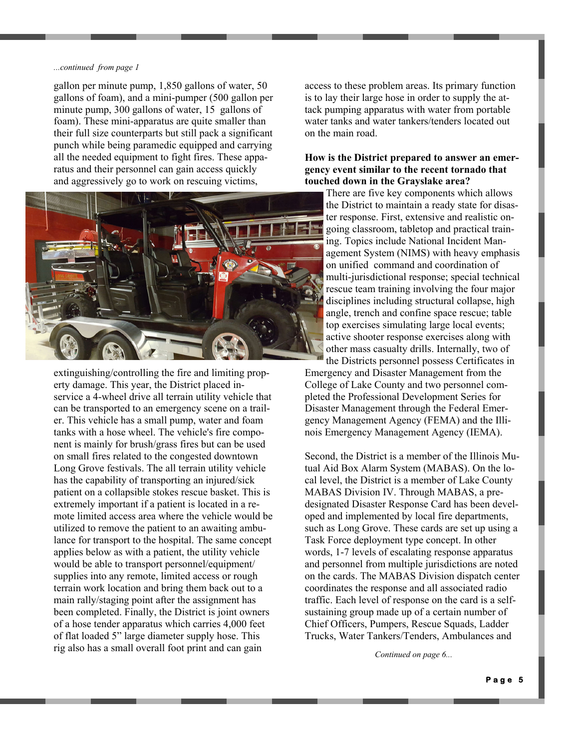#### *...continued from page 1*

gallon per minute pump, 1,850 gallons of water, 50 gallons of foam), and a mini-pumper (500 gallon per minute pump, 300 gallons of water, 15 gallons of foam). These mini-apparatus are quite smaller than their full size counterparts but still pack a significant punch while being paramedic equipped and carrying all the needed equipment to fight fires. These apparatus and their personnel can gain access quickly and aggressively go to work on rescuing victims,



extinguishing/controlling the fire and limiting property damage. This year, the District placed inservice a 4-wheel drive all terrain utility vehicle that can be transported to an emergency scene on a trailer. This vehicle has a small pump, water and foam tanks with a hose wheel. The vehicle's fire component is mainly for brush/grass fires but can be used on small fires related to the congested downtown Long Grove festivals. The all terrain utility vehicle has the capability of transporting an injured/sick patient on a collapsible stokes rescue basket. This is extremely important if a patient is located in a remote limited access area where the vehicle would be utilized to remove the patient to an awaiting ambulance for transport to the hospital. The same concept applies below as with a patient, the utility vehicle would be able to transport personnel/equipment/ supplies into any remote, limited access or rough terrain work location and bring them back out to a main rally/staging point after the assignment has been completed. Finally, the District is joint owners of a hose tender apparatus which carries 4,000 feet of flat loaded 5" large diameter supply hose. This rig also has a small overall foot print and can gain

access to these problem areas. Its primary function is to lay their large hose in order to supply the attack pumping apparatus with water from portable water tanks and water tankers/tenders located out on the main road.

#### **How is the District prepared to answer an emergency event similar to the recent tornado that touched down in the Grayslake area?**

There are five key components which allows the District to maintain a ready state for disaster response. First, extensive and realistic ongoing classroom, tabletop and practical training. Topics include National Incident Management System (NIMS) with heavy emphasis on unified command and coordination of multi-jurisdictional response; special technical rescue team training involving the four major disciplines including structural collapse, high angle, trench and confine space rescue; table top exercises simulating large local events; active shooter response exercises along with other mass casualty drills. Internally, two of

the Districts personnel possess Certificates in Emergency and Disaster Management from the College of Lake County and two personnel completed the Professional Development Series for Disaster Management through the Federal Emergency Management Agency (FEMA) and the Illinois Emergency Management Agency (IEMA).

Second, the District is a member of the Illinois Mutual Aid Box Alarm System (MABAS). On the local level, the District is a member of Lake County MABAS Division IV. Through MABAS, a predesignated Disaster Response Card has been developed and implemented by local fire departments, such as Long Grove. These cards are set up using a Task Force deployment type concept. In other words, 1-7 levels of escalating response apparatus and personnel from multiple jurisdictions are noted on the cards. The MABAS Division dispatch center coordinates the response and all associated radio traffic. Each level of response on the card is a selfsustaining group made up of a certain number of Chief Officers, Pumpers, Rescue Squads, Ladder Trucks, Water Tankers/Tenders, Ambulances and

*Continued on page 6...*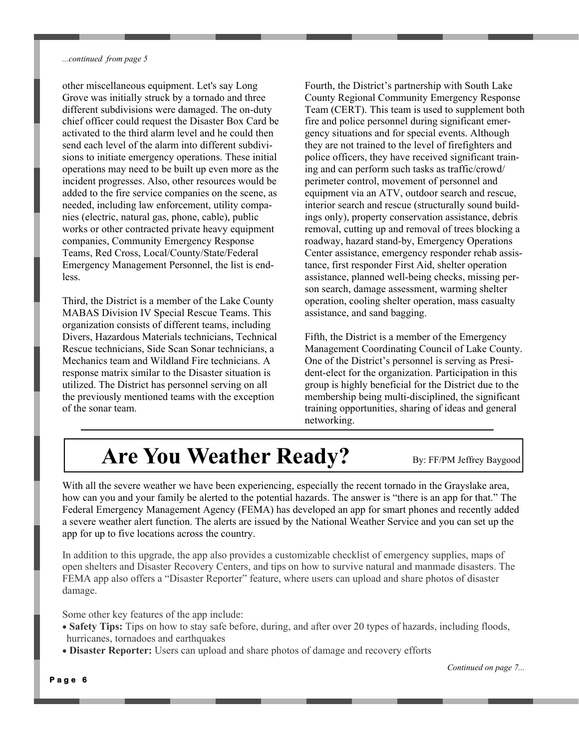*...continued from page 5*

other miscellaneous equipment. Let's say Long Grove was initially struck by a tornado and three different subdivisions were damaged. The on-duty chief officer could request the Disaster Box Card be activated to the third alarm level and he could then send each level of the alarm into different subdivisions to initiate emergency operations. These initial operations may need to be built up even more as the incident progresses. Also, other resources would be added to the fire service companies on the scene, as needed, including law enforcement, utility companies (electric, natural gas, phone, cable), public works or other contracted private heavy equipment companies, Community Emergency Response Teams, Red Cross, Local/County/State/Federal Emergency Management Personnel, the list is endless.

Third, the District is a member of the Lake County MABAS Division IV Special Rescue Teams. This organization consists of different teams, including Divers, Hazardous Materials technicians, Technical Rescue technicians, Side Scan Sonar technicians, a Mechanics team and Wildland Fire technicians. A response matrix similar to the Disaster situation is utilized. The District has personnel serving on all the previously mentioned teams with the exception of the sonar team.

Fourth, the District's partnership with South Lake County Regional Community Emergency Response Team (CERT). This team is used to supplement both fire and police personnel during significant emergency situations and for special events. Although they are not trained to the level of firefighters and police officers, they have received significant training and can perform such tasks as traffic/crowd/ perimeter control, movement of personnel and equipment via an ATV, outdoor search and rescue, interior search and rescue (structurally sound buildings only), property conservation assistance, debris removal, cutting up and removal of trees blocking a roadway, hazard stand-by, Emergency Operations Center assistance, emergency responder rehab assistance, first responder First Aid, shelter operation assistance, planned well-being checks, missing person search, damage assessment, warming shelter operation, cooling shelter operation, mass casualty assistance, and sand bagging.

Fifth, the District is a member of the Emergency Management Coordinating Council of Lake County. One of the District's personnel is serving as President-elect for the organization. Participation in this group is highly beneficial for the District due to the membership being multi-disciplined, the significant training opportunities, sharing of ideas and general networking.

### Are You Weather Ready? By: FF/PM Jeffrey Baygood

With all the severe weather we have been experiencing, especially the recent tornado in the Grayslake area, how can you and your family be alerted to the potential hazards. The answer is "there is an app for that." The Federal Emergency Management Agency (FEMA) has developed an app for smart phones and recently added a severe weather alert function. The alerts are issued by the National Weather Service and you can set up the app for up to five locations across the country.

In addition to this upgrade, the app also provides a customizable checklist of emergency supplies, maps of open shelters and Disaster Recovery Centers, and tips on how to survive natural and manmade disasters. The FEMA app also offers a "Disaster Reporter" feature, where users can upload and share photos of disaster damage.

Some other key features of the app include:

- **Safety Tips:** Tips on how to stay safe before, during, and after over 20 types of hazards, including floods, hurricanes, tornadoes and earthquakes
- **Disaster Reporter:** Users can upload and share photos of damage and recovery efforts

*Continued on page 7...*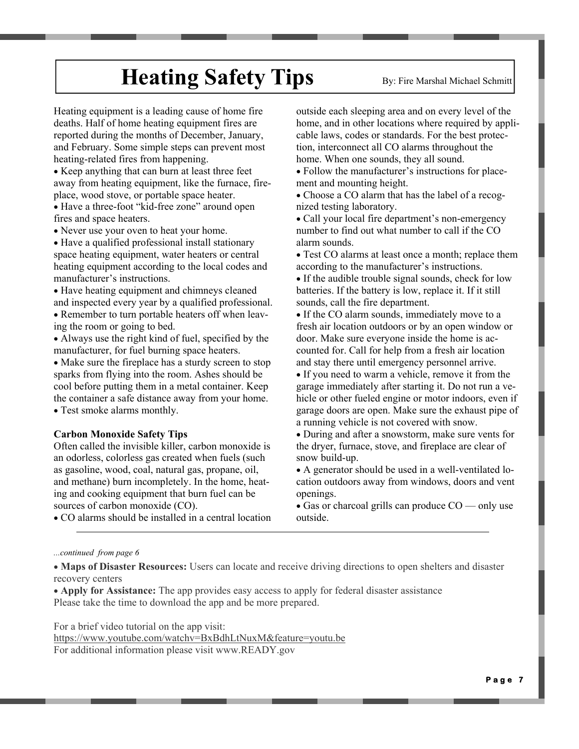### Heating Safety Tips By: Fire Marshal Michael Schmitt

Heating equipment is a leading cause of home fire deaths. Half of home heating equipment fires are reported during the months of December, January, and February. Some simple steps can prevent most heating-related fires from happening.

• Keep anything that can burn at least three feet away from heating equipment, like the furnace, fireplace, wood stove, or portable space heater.

 Have a three-foot "kid-free zone" around open fires and space heaters.

• Never use your oven to heat your home.

 Have a qualified professional install stationary space heating equipment, water heaters or central heating equipment according to the local codes and manufacturer's instructions.

 Have heating equipment and chimneys cleaned and inspected every year by a qualified professional.

 Remember to turn portable heaters off when leaving the room or going to bed.

 Always use the right kind of fuel, specified by the manufacturer, for fuel burning space heaters.

• Make sure the fireplace has a sturdy screen to stop sparks from flying into the room. Ashes should be cool before putting them in a metal container. Keep the container a safe distance away from your home. Test smoke alarms monthly.

#### **Carbon Monoxide Safety Tips**

Often called the invisible killer, carbon monoxide is an odorless, colorless gas created when fuels (such as gasoline, wood, coal, natural gas, propane, oil, and methane) burn incompletely. In the home, heating and cooking equipment that burn fuel can be sources of carbon monoxide (CO).

outside each sleeping area and on every level of the home, and in other locations where required by applicable laws, codes or standards. For the best protection, interconnect all CO alarms throughout the home. When one sounds, they all sound.

 Follow the manufacturer's instructions for placement and mounting height.

• Choose a CO alarm that has the label of a recognized testing laboratory.

 Call your local fire department's non-emergency number to find out what number to call if the CO alarm sounds.

• Test CO alarms at least once a month; replace them according to the manufacturer's instructions.

 If the audible trouble signal sounds, check for low batteries. If the battery is low, replace it. If it still sounds, call the fire department.

• If the CO alarm sounds, immediately move to a fresh air location outdoors or by an open window or door. Make sure everyone inside the home is accounted for. Call for help from a fresh air location and stay there until emergency personnel arrive. If you need to warm a vehicle, remove it from the garage immediately after starting it. Do not run a vehicle or other fueled engine or motor indoors, even if

garage doors are open. Make sure the exhaust pipe of a running vehicle is not covered with snow.

 During and after a snowstorm, make sure vents for the dryer, furnace, stove, and fireplace are clear of snow build-up.

 A generator should be used in a well-ventilated location outdoors away from windows, doors and vent openings.

• Gas or charcoal grills can produce  $CO$  — only use outside.

CO alarms should be installed in a central location

*...continued from page 6*

 **Maps of Disaster Resources:** Users can locate and receive driving directions to open shelters and disaster recovery centers

• **Apply for Assistance:** The app provides easy access to apply for federal disaster assistance Please take the time to download the app and be more prepared.

For a brief video tutorial on the app visit: https://www.youtube.com/watchv=BxBdhLtNuxM&feature=youtu.be For additional information please visit www.READY.gov